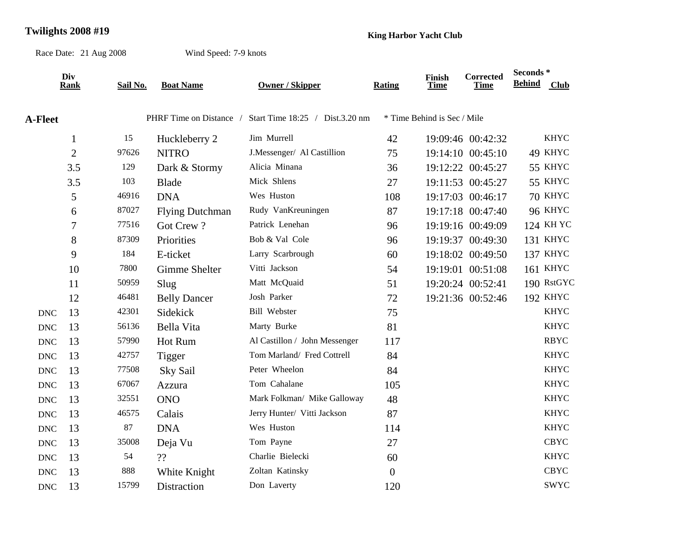## **Twilights 2008 #19 King Harbor Yacht Club**

Race Date: 21 Aug 2008

Wind Speed: 7-9 knots

|                           | Div<br>Rank    | Sail No. | <b>Boat Name</b>        | <b>Owner / Skipper</b>          | Rating         | Finish<br><b>Time</b>       | <b>Corrected</b><br>Time | Seconds*<br><b>Behind</b> | <b>Club</b>     |
|---------------------------|----------------|----------|-------------------------|---------------------------------|----------------|-----------------------------|--------------------------|---------------------------|-----------------|
| <b>A-Fleet</b>            |                |          | PHRF Time on Distance / | Start Time 18:25 / Dist.3.20 nm |                | * Time Behind is Sec / Mile |                          |                           |                 |
|                           | $\mathbf{1}$   | 15       | Huckleberry 2           | Jim Murrell                     | 42             |                             | 19:09:46 00:42:32        |                           | <b>KHYC</b>     |
|                           | $\overline{2}$ | 97626    | <b>NITRO</b>            | J.Messenger/ Al Castillion      | 75             |                             | 19:14:10 00:45:10        |                           | 49 KHYC         |
|                           | 3.5            | 129      | Dark & Stormy           | Alicia Minana                   | 36             |                             | 19:12:22 00:45:27        |                           | 55 KHYC         |
|                           | 3.5            | 103      | <b>Blade</b>            | Mick Shlens                     | 27             |                             | 19:11:53 00:45:27        |                           | 55 KHYC         |
|                           | 5              | 46916    | <b>DNA</b>              | Wes Huston                      | 108            |                             | 19:17:03 00:46:17        |                           | 70 KHYC         |
|                           | 6              | 87027    | <b>Flying Dutchman</b>  | Rudy VanKreuningen              | 87             |                             | 19:17:18 00:47:40        |                           | 96 KHYC         |
|                           | $\tau$         | 77516    | Got Crew?               | Patrick Lenehan                 | 96             |                             | 19:19:16 00:49:09        |                           | 124 KH YC       |
|                           | 8              | 87309    | Priorities              | Bob & Val Cole                  | 96             |                             | 19:19:37 00:49:30        |                           | <b>131 KHYC</b> |
|                           | 9              | 184      | E-ticket                | Larry Scarbrough                | 60             |                             | 19:18:02 00:49:50        |                           | 137 KHYC        |
|                           | 10             | 7800     | Gimme Shelter           | Vitti Jackson                   | 54             |                             | 19:19:01 00:51:08        |                           | 161 KHYC        |
|                           | 11             | 50959    | Slug                    | Matt McQuaid                    | 51             |                             | 19:20:24 00:52:41        |                           | 190 RstGYC      |
|                           | 12             | 46481    | <b>Belly Dancer</b>     | Josh Parker                     | 72             |                             | 19:21:36 00:52:46        |                           | 192 KHYC        |
| <b>DNC</b>                | 13             | 42301    | Sidekick                | <b>Bill Webster</b>             | 75             |                             |                          |                           | <b>KHYC</b>     |
| $\ensuremath{\text{DNC}}$ | 13             | 56136    | Bella Vita              | Marty Burke                     | 81             |                             |                          |                           | <b>KHYC</b>     |
| $\ensuremath{\text{DNC}}$ | 13             | 57990    | Hot Rum                 | Al Castillon / John Messenger   | 117            |                             |                          |                           | <b>RBYC</b>     |
| $\ensuremath{\text{DNC}}$ | 13             | 42757    | Tigger                  | Tom Marland/ Fred Cottrell      | 84             |                             |                          |                           | <b>KHYC</b>     |
| $\ensuremath{\text{DNC}}$ | 13             | 77508    | <b>Sky Sail</b>         | Peter Wheelon                   | 84             |                             |                          |                           | <b>KHYC</b>     |
| <b>DNC</b>                | 13             | 67067    | Azzura                  | Tom Cahalane                    | 105            |                             |                          |                           | <b>KHYC</b>     |
| $\ensuremath{\text{DNC}}$ | 13             | 32551    | <b>ONO</b>              | Mark Folkman/ Mike Galloway     | 48             |                             |                          |                           | <b>KHYC</b>     |
| $\ensuremath{\text{DNC}}$ | 13             | 46575    | Calais                  | Jerry Hunter/ Vitti Jackson     | 87             |                             |                          |                           | <b>KHYC</b>     |
| $\ensuremath{\text{DNC}}$ | 13             | 87       | <b>DNA</b>              | Wes Huston                      | 114            |                             |                          |                           | <b>KHYC</b>     |
| $\ensuremath{\text{DNC}}$ | 13             | 35008    | Deja Vu                 | Tom Payne                       | 27             |                             |                          |                           | <b>CBYC</b>     |
| <b>DNC</b>                | 13             | 54       | ??                      | Charlie Bielecki                | 60             |                             |                          |                           | <b>KHYC</b>     |
| <b>DNC</b>                | 13             | 888      | White Knight            | Zoltan Katinsky                 | $\overline{0}$ |                             |                          |                           | <b>CBYC</b>     |
| <b>DNC</b>                | 13             | 15799    | Distraction             | Don Laverty                     | 120            |                             |                          |                           | <b>SWYC</b>     |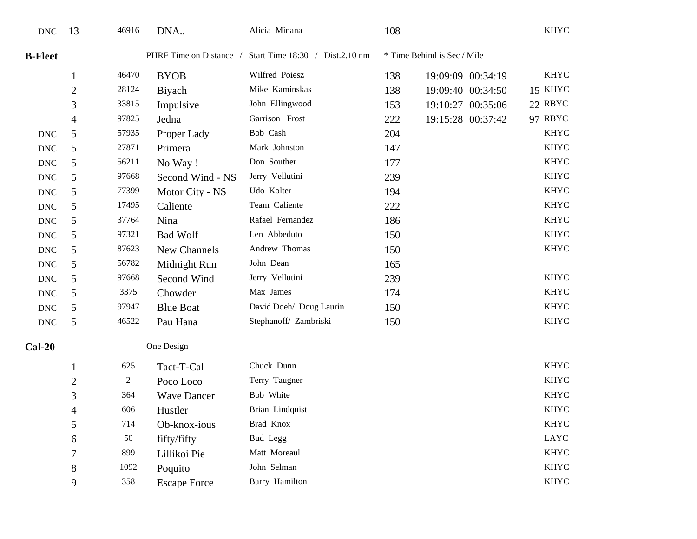| <b>DNC</b>                | 13             | 46916          | DNA                     | Alicia Minana                   | 108 |                             | <b>KHYC</b> |
|---------------------------|----------------|----------------|-------------------------|---------------------------------|-----|-----------------------------|-------------|
| <b>B-Fleet</b>            |                |                | PHRF Time on Distance / | Start Time 18:30 / Dist.2.10 nm |     | * Time Behind is Sec / Mile |             |
|                           | $\mathbf{1}$   | 46470          | <b>BYOB</b>             | Wilfred Poiesz                  | 138 | 19:09:09 00:34:19           | <b>KHYC</b> |
|                           | $\overline{c}$ | 28124          | Biyach                  | Mike Kaminskas                  | 138 | 19:09:40 00:34:50           | 15 KHYC     |
|                           | 3              | 33815          | Impulsive               | John Ellingwood                 | 153 | 19:10:27 00:35:06           | 22 RBYC     |
|                           | 4              | 97825          | Jedna                   | Garrison Frost                  | 222 | 19:15:28 00:37:42           | 97 RBYC     |
| <b>DNC</b>                | 5              | 57935          | Proper Lady             | Bob Cash                        | 204 |                             | <b>KHYC</b> |
| <b>DNC</b>                | 5              | 27871          | Primera                 | Mark Johnston                   | 147 |                             | <b>KHYC</b> |
| <b>DNC</b>                | 5              | 56211          | No Way!                 | Don Souther                     | 177 |                             | <b>KHYC</b> |
| <b>DNC</b>                | 5              | 97668          | Second Wind - NS        | Jerry Vellutini                 | 239 |                             | <b>KHYC</b> |
| <b>DNC</b>                | 5              | 77399          | Motor City - NS         | Udo Kolter                      | 194 |                             | <b>KHYC</b> |
| <b>DNC</b>                | 5              | 17495          | Caliente                | Team Caliente                   | 222 |                             | <b>KHYC</b> |
| <b>DNC</b>                | 5              | 37764          | Nina                    | Rafael Fernandez                | 186 |                             | <b>KHYC</b> |
| <b>DNC</b>                | 5              | 97321          | <b>Bad Wolf</b>         | Len Abbeduto                    | 150 |                             | <b>KHYC</b> |
| <b>DNC</b>                | 5              | 87623          | New Channels            | Andrew Thomas                   | 150 |                             | <b>KHYC</b> |
| <b>DNC</b>                | 5              | 56782          | Midnight Run            | John Dean                       | 165 |                             |             |
| <b>DNC</b>                | 5              | 97668          | Second Wind             | Jerry Vellutini                 | 239 |                             | <b>KHYC</b> |
| <b>DNC</b>                | 5              | 3375           | Chowder                 | Max James                       | 174 |                             | <b>KHYC</b> |
| $\ensuremath{\text{DNC}}$ | 5              | 97947          | <b>Blue Boat</b>        | David Doeh/ Doug Laurin         | 150 |                             | <b>KHYC</b> |
| $\ensuremath{\text{DNC}}$ | 5              | 46522          | Pau Hana                | Stephanoff/ Zambriski           | 150 |                             | <b>KHYC</b> |
| <b>Cal-20</b>             |                |                | One Design              |                                 |     |                             |             |
|                           | $\mathbf{1}$   | 625            | Tact-T-Cal              | Chuck Dunn                      |     |                             | <b>KHYC</b> |
|                           | $\overline{c}$ | $\overline{2}$ | Poco Loco               | Terry Taugner                   |     |                             | <b>KHYC</b> |
|                           | 3              | 364            | <b>Wave Dancer</b>      | Bob White                       |     |                             | <b>KHYC</b> |
|                           | 4              | 606            | Hustler                 | Brian Lindquist                 |     |                             | <b>KHYC</b> |
|                           | 5              | 714            | Ob-knox-ious            | Brad Knox                       |     |                             | <b>KHYC</b> |
|                           | 6              | 50             | fifty/fifty             | <b>Bud Legg</b>                 |     |                             | LAYC        |
|                           | 7              | 899            | Lillikoi Pie            | Matt Moreaul                    |     |                             | <b>KHYC</b> |
|                           | 8              | 1092           | Poquito                 | John Selman                     |     |                             | <b>KHYC</b> |
|                           | 9              | 358            | <b>Escape Force</b>     | Barry Hamilton                  |     |                             | <b>KHYC</b> |